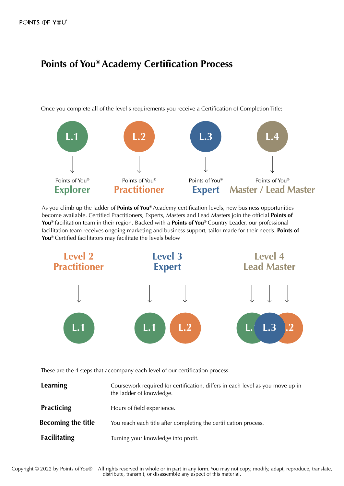# **Points of You® Academy Certification Process**

Once you complete all of the level's requirements you receive a Certification of Completion Title:



As you climb up the ladder of **Points of You®** Academy certification levels, new business opportunities become available. Certified Practitioners, Experts, Masters and Lead Masters join the official **Points of You®** facilitation team in their region. Backed with a **Points of You®** Country Leader, our professional facilitation team receives ongoing marketing and business support, tailor-made for their needs. **Points of You®** Certified facilitators may facilitate the levels below



These are the 4 steps that accompany each level of our certification process:

| <b>Learning</b>           | Coursework required for certification, differs in each level as you move up in<br>the ladder of knowledge. |
|---------------------------|------------------------------------------------------------------------------------------------------------|
| <b>Practicing</b>         | Hours of field experience.                                                                                 |
| <b>Becoming the title</b> | You reach each title after completing the certification process.                                           |
| <b>Facilitating</b>       | Turning your knowledge into profit.                                                                        |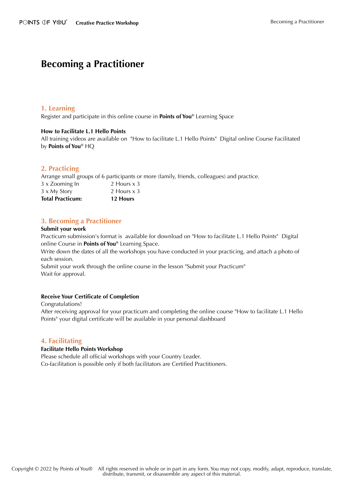# **Becoming a Practitioner**

## **1. Learning**

Register and participate in this online course in **Points of You®** Learning Space

## **How to Facilitate L.1 Hello Points**

All training videos are available on "How to facilitate L.1 Hello Points" Digital online Course Facilitated by **Points of You®** HQ

## **2. Practicing**

Arrange small groups of 6 participants or more (family, friends, colleagues) and practice.

| <b>Total Practicum:</b> | 12 Hours    |
|-------------------------|-------------|
| 3 x My Story            | 2 Hours x 3 |
| 3 x Zooming In          | 2 Hours x 3 |

# **3. Becoming a Practitioner**

## **Submit your work**

Practicum submission's format is available for download on "How to facilitate L.1 Hello Points" Digital online Course in **Points of You®** Learning Space.

Write down the dates of all the workshops you have conducted in your practicing, and attach a photo of each session.

Submit your work through the online course in the lesson "Submit your Practicum" Wait for approval.

## **Receive Your Certificate of Completion**

Congratulations!

After receiving approval for your practicum and completing the online course "How to facilitate L.1 Hello Points" your digital certificate will be available in your personal dashboard

## **4. Facilitating**

## **Facilitate Hello Points Workshop**

Please schedule all official workshops with your Country Leader. Co-facilitation is possible only if both facilitators are Certified Practitioners.